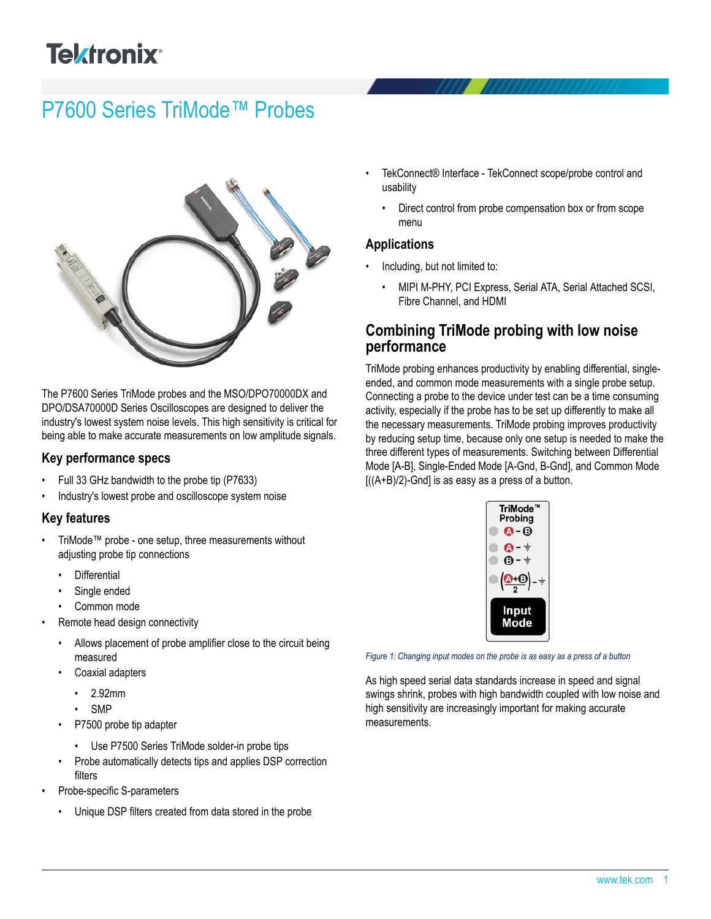# **Telxtronix**<sup>®</sup>

# P7600 Series TriMode™ Probes



The P7600 Series TriMode probes and the MSO/DPO70000DX and DPO/DSA70000D Series Oscilloscopes are designed to deliver the industry's lowest system noise levels. This high sensitivity is critical for being able to make accurate measurements on low amplitude signals.

#### **Key performance specs**

- Full 33 GHz bandwidth to the probe tip (P7633)
- Industry's lowest probe and oscilloscope system noise

#### **Key features**

- TriMode™ probe one setup, three measurements without adjusting probe tip connections
	- **Differential**
	- Single ended
	- Common mode
- Remote head design connectivity
	- Allows placement of probe amplifier close to the circuit being measured
	- Coaxial adapters
		- 2.92mm
		- SMP
	- P7500 probe tip adapter
		- Use P7500 Series TriMode solder-in probe tips
	- Probe automatically detects tips and applies DSP correction filters
- Probe-specific S-parameters
	- Unique DSP filters created from data stored in the probe
- TekConnect® Interface TekConnect scope/probe control and usability
	- Direct control from probe compensation box or from scope menu

### **Applications**

- Including, but not limited to:
	- MIPI M-PHY, PCI Express, Serial ATA, Serial Attached SCSI, Fibre Channel, and HDMI

### **Combining TriMode probing with low noise performance**

TriMode probing enhances productivity by enabling differential, singleended, and common mode measurements with a single probe setup. Connecting a probe to the device under test can be a time consuming activity, especially if the probe has to be set up differently to make all the necessary measurements. TriMode probing improves productivity by reducing setup time, because only one setup is needed to make the three different types of measurements. Switching between Differential Mode [A-B], Single-Ended Mode [A-Gnd, B-Gnd], and Common Mode  $[((A+B)/2)$ -Gnd] is as easy as a press of a button.



*Figure 1: Changing input modes on the probe is as easy as a press of a button*

As high speed serial data standards increase in speed and signal swings shrink, probes with high bandwidth coupled with low noise and high sensitivity are increasingly important for making accurate measurements.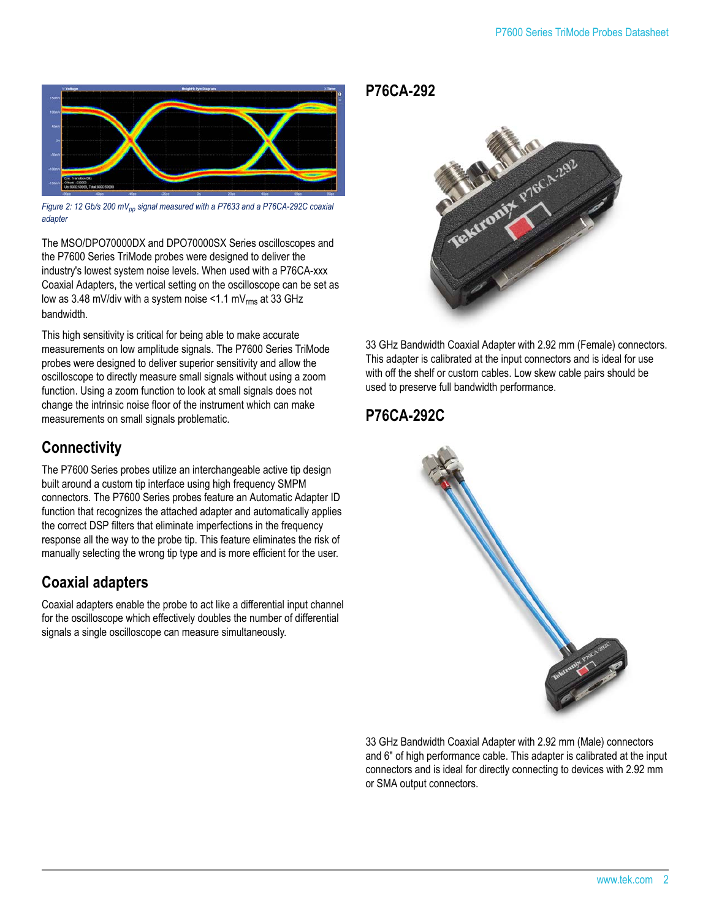

*Figure 2: 12 Gb/s 200 mVpp signal measured with a P7633 and a P76CA-292C coaxial adapter*

The MSO/DPO70000DX and DPO70000SX Series oscilloscopes and the P7600 Series TriMode probes were designed to deliver the industry's lowest system noise levels. When used with a P76CA-xxx Coaxial Adapters, the vertical setting on the oscilloscope can be set as low as 3.48 mV/div with a system noise <1.1 mV $_{\rm rms}$  at 33 GHz bandwidth.

This high sensitivity is critical for being able to make accurate measurements on low amplitude signals. The P7600 Series TriMode probes were designed to deliver superior sensitivity and allow the oscilloscope to directly measure small signals without using a zoom function. Using a zoom function to look at small signals does not change the intrinsic noise floor of the instrument which can make measurements on small signals problematic.

# **Connectivity**

The P7600 Series probes utilize an interchangeable active tip design built around a custom tip interface using high frequency SMPM connectors. The P7600 Series probes feature an Automatic Adapter ID function that recognizes the attached adapter and automatically applies the correct DSP filters that eliminate imperfections in the frequency response all the way to the probe tip. This feature eliminates the risk of manually selecting the wrong tip type and is more efficient for the user.

# **Coaxial adapters**

Coaxial adapters enable the probe to act like a differential input channel for the oscilloscope which effectively doubles the number of differential signals a single oscilloscope can measure simultaneously.

**P76CA-292**



33 GHz Bandwidth Coaxial Adapter with 2.92 mm (Female) connectors. This adapter is calibrated at the input connectors and is ideal for use with off the shelf or custom cables. Low skew cable pairs should be used to preserve full bandwidth performance.

# **P76CA-292C**



33 GHz Bandwidth Coaxial Adapter with 2.92 mm (Male) connectors and 6" of high performance cable. This adapter is calibrated at the input connectors and is ideal for directly connecting to devices with 2.92 mm or SMA output connectors.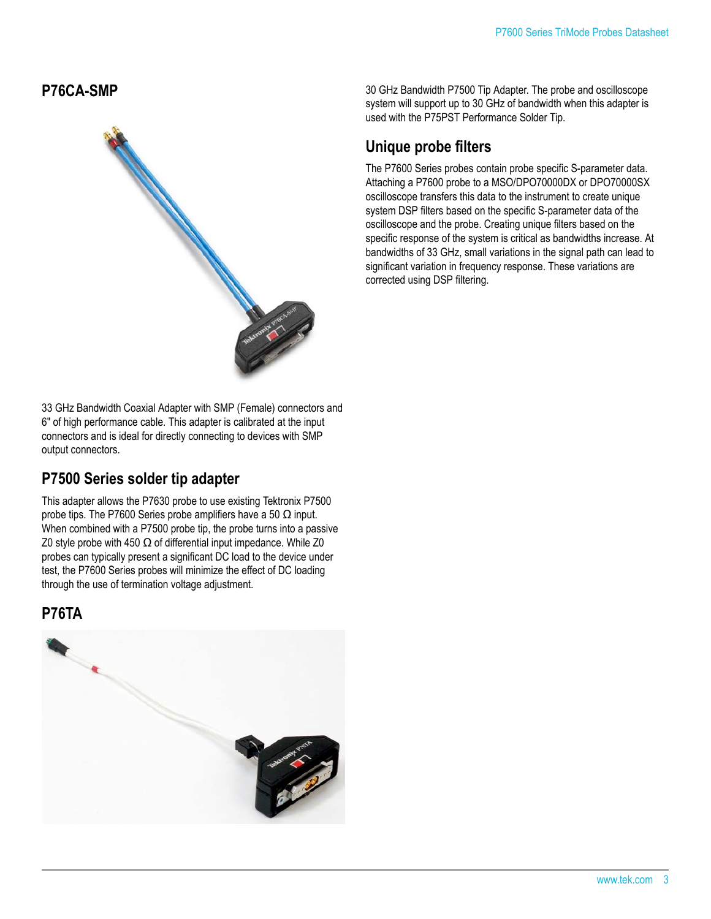**P76CA-SMP**



33 GHz Bandwidth Coaxial Adapter with SMP (Female) connectors and 6" of high performance cable. This adapter is calibrated at the input connectors and is ideal for directly connecting to devices with SMP output connectors.

### **P7500 Series solder tip adapter**

This adapter allows the P7630 probe to use existing Tektronix P7500 probe tips. The P7600 Series probe amplifiers have a 50  $\Omega$  input. When combined with a P7500 probe tip, the probe turns into a passive Z0 style probe with 450  $\Omega$  of differential input impedance. While Z0 probes can typically present a significant DC load to the device under test, the P7600 Series probes will minimize the effect of DC loading through the use of termination voltage adjustment.

### **P76TA**



30 GHz Bandwidth P7500 Tip Adapter. The probe and oscilloscope system will support up to 30 GHz of bandwidth when this adapter is used with the P75PST Performance Solder Tip.

# **Unique probe filters**

The P7600 Series probes contain probe specific S-parameter data. Attaching a P7600 probe to a MSO/DPO70000DX or DPO70000SX oscilloscope transfers this data to the instrument to create unique system DSP filters based on the specific S-parameter data of the oscilloscope and the probe. Creating unique filters based on the specific response of the system is critical as bandwidths increase. At bandwidths of 33 GHz, small variations in the signal path can lead to significant variation in frequency response. These variations are corrected using DSP filtering.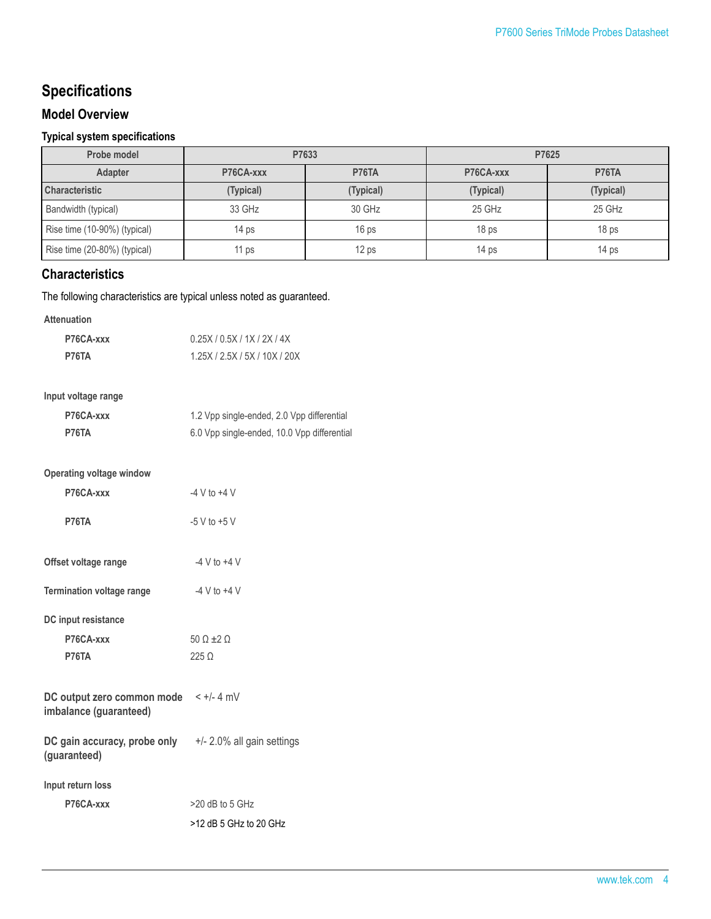# **Specifications**

#### **Model Overview**

#### **Typical system specifications**

| Probe model                  | P7633            |                  | P7625            |                  |
|------------------------------|------------------|------------------|------------------|------------------|
| <b>Adapter</b>               | P76CA-xxx        | P76TA            | P76CA-xxx        | <b>P76TA</b>     |
| <b>Characteristic</b>        | (Typical)        | (Typical)        | (Typical)        | (Typical)        |
| Bandwidth (typical)          | 33 GHz           | 30 GHz           | 25 GHz           | 25 GHz           |
| Rise time (10-90%) (typical) | 14 <sub>ps</sub> | 16 <sub>ps</sub> | 18 <sub>ps</sub> | 18 <sub>ps</sub> |
| Rise time (20-80%) (typical) | 11 <sub>ps</sub> | 12 <sub>ps</sub> | 14 <sub>ps</sub> | 14 <sub>ps</sub> |

### **Characteristics**

The following characteristics are typical unless noted as guaranteed.

#### **Attenuation**

| P76CA-xxx | 0.25X/0.5X/1X/2X/4X           |
|-----------|-------------------------------|
| P76TA     | 1.25X / 2.5X / 5X / 10X / 20X |

#### **Input voltage range**

| P76CA-xxx | 1.2 Vpp single-ended, 2.0 Vpp differential  |
|-----------|---------------------------------------------|
| P76TA     | 6.0 Vpp single-ended, 10.0 Vpp differential |

### **Operating voltage window**

| P76CA-xxx                 | $-4$ V to $+4$ V |
|---------------------------|------------------|
| P76TA                     | $-5$ V to $+5$ V |
| Offset voltage range      | $-4$ V to $+4$ V |
| Termination voltage range | $-4$ V to $+4$ V |
| DC input resistance       |                  |
| P76CA-xxx                 | $500 + 20$       |
| P76TA                     | 225 O            |

| DC output zero common mode | $\leq +/- 4$ mV |
|----------------------------|-----------------|
| imbalance (guaranteed)     |                 |

#### **DC gain accuracy, probe only (guaranteed)** +/- 2.0% all gain settings

**Input return loss**

| P76CA-xxx | $>20$ dB to 5 GHz        |
|-----------|--------------------------|
|           | $>12$ dB 5 GHz to 20 GHz |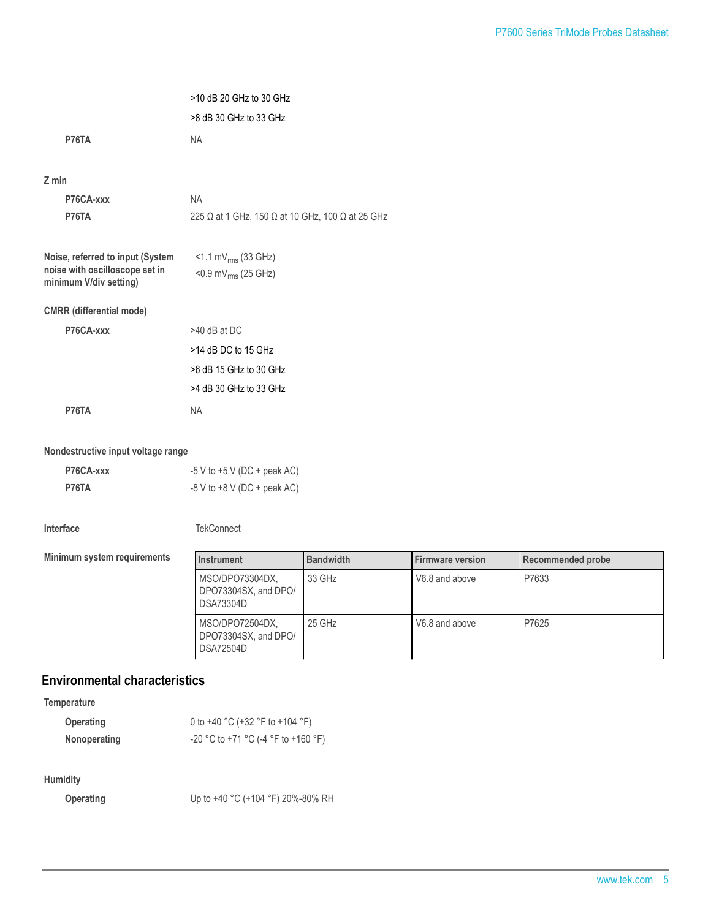|                                                                                              | >10 dB 20 GHz to 30 GHz<br>>8 dB 30 GHz to 33 GHz            |
|----------------------------------------------------------------------------------------------|--------------------------------------------------------------|
| P76TA                                                                                        | <b>NA</b>                                                    |
| $Z$ min                                                                                      |                                                              |
| P76CA-xxx                                                                                    | <b>NA</b>                                                    |
| P76TA                                                                                        | 225 Ω at 1 GHz, 150 Ω at 10 GHz, 100 Ω at 25 GHz             |
| Noise, referred to input (System<br>noise with oscilloscope set in<br>minimum V/div setting) | $<$ 1.1 mV $_{rms}$ (33 GHz)<br>< $0.9$ mV $_{rms}$ (25 GHz) |
| <b>CMRR</b> (differential mode)                                                              |                                                              |
| P76CA-xxx                                                                                    | $>40$ dB at DC                                               |
|                                                                                              | >14 dB DC to 15 GHz                                          |
|                                                                                              | >6 dB 15 GHz to 30 GHz                                       |
|                                                                                              | >4 dB 30 GHz to 33 GHz                                       |
| P76TA                                                                                        | <b>NA</b>                                                    |

#### **Nondestructive input voltage range**

| P76CA-xxx | $-5$ V to $+5$ V (DC + peak AC) |
|-----------|---------------------------------|
| P76TA     | $-8$ V to $+8$ V (DC + peak AC) |

| Interta |
|---------|
|---------|

**TekConnect** 

**Minimum system requirements** 

| Instrument                                                  | <b>Bandwidth</b> | <b>Firmware version</b> | Recommended probe |
|-------------------------------------------------------------|------------------|-------------------------|-------------------|
| MSO/DPO73304DX,<br>DPO73304SX, and DPO/<br><b>DSA73304D</b> | 33 GHz           | V6.8 and above          | P7633             |
| MSO/DPO72504DX,<br>DPO73304SX, and DPO/<br><b>DSA72504D</b> | 25 GHz           | V6.8 and above          | P7625             |

### **Environmental characteristics**

**Temperature**

| Operating    | 0 to +40 °C (+32 °F to +104 °F)     |
|--------------|-------------------------------------|
| Nonoperating | -20 °C to +71 °C (-4 °F to +160 °F) |

#### **Humidity**

**Operating** Up to +40 °C (+104 °F) 20%-80% RH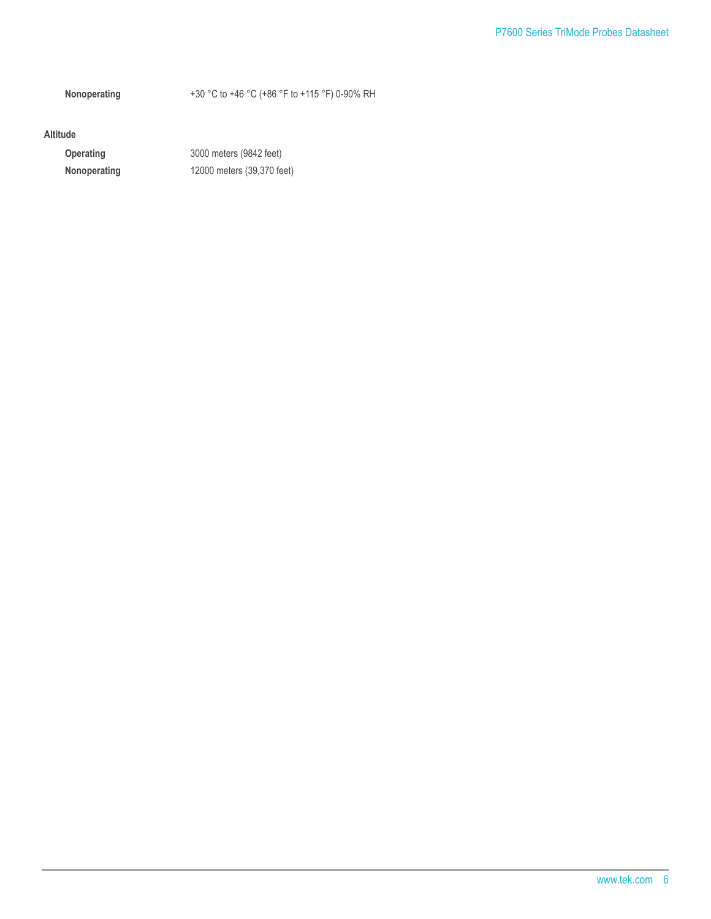**Nonoperating** +30 °C to +46 °C (+86 °F to +115 °F) 0-90% RH

#### **Altitude**

**Operating** 3000 meters (9842 feet) **Nonoperating** 12000 meters (39,370 feet)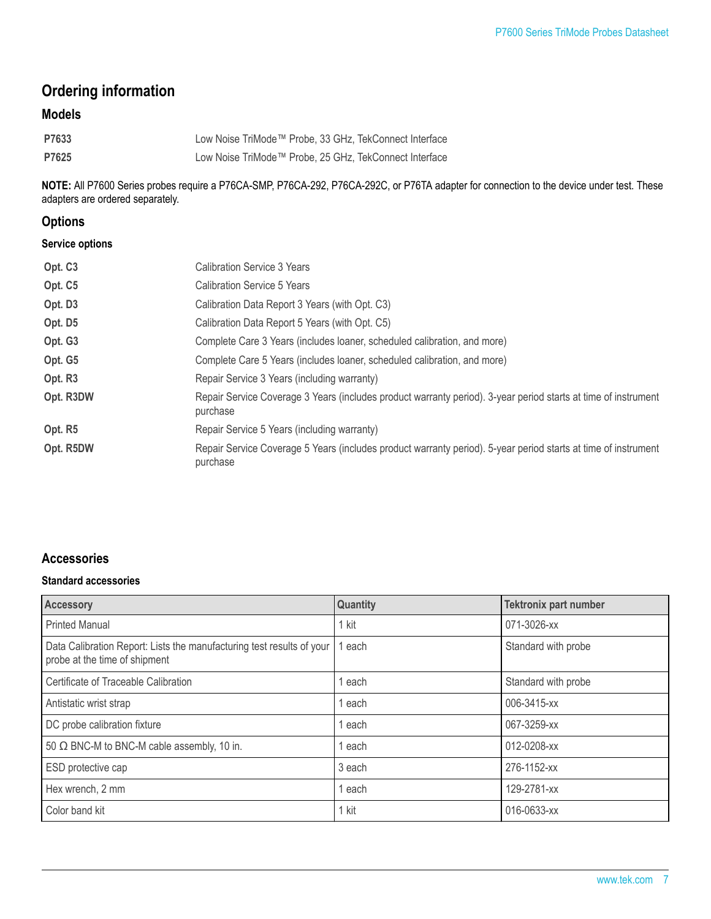# **Ordering information**

## **Models**

| P7633 | Low Noise TriMode™ Probe, 33 GHz, TekConnect Interface |
|-------|--------------------------------------------------------|
| P7625 | Low Noise TriMode™ Probe, 25 GHz, TekConnect Interface |

**NOTE:** All P7600 Series probes require a P76CA-SMP, P76CA-292, P76CA-292C, or P76TA adapter for connection to the device under test. These adapters are ordered separately.

### **Options**

#### **Service options**

| Opt. C <sub>3</sub> | Calibration Service 3 Years                                                                                                |  |
|---------------------|----------------------------------------------------------------------------------------------------------------------------|--|
| Opt. C5             | Calibration Service 5 Years                                                                                                |  |
| Opt. D3             | Calibration Data Report 3 Years (with Opt. C3)                                                                             |  |
| Opt. D5             | Calibration Data Report 5 Years (with Opt. C5)                                                                             |  |
| Opt. G3             | Complete Care 3 Years (includes loaner, scheduled calibration, and more)                                                   |  |
| Opt. G5             | Complete Care 5 Years (includes loaner, scheduled calibration, and more)                                                   |  |
| Opt. R <sub>3</sub> | Repair Service 3 Years (including warranty)                                                                                |  |
| Opt. R3DW           | Repair Service Coverage 3 Years (includes product warranty period). 3-year period starts at time of instrument<br>purchase |  |
| Opt. R5             | Repair Service 5 Years (including warranty)                                                                                |  |
| Opt. R5DW           | Repair Service Coverage 5 Years (includes product warranty period). 5-year period starts at time of instrument<br>purchase |  |

### **Accessories**

#### **Standard accessories**

| <b>Accessory</b>                                                                                       | <b>Quantity</b> | <b>Tektronix part number</b> |
|--------------------------------------------------------------------------------------------------------|-----------------|------------------------------|
| <b>Printed Manual</b>                                                                                  | 1 kit           | 071-3026-xx                  |
| Data Calibration Report: Lists the manufacturing test results of your<br>probe at the time of shipment | each            | Standard with probe          |
| Certificate of Traceable Calibration                                                                   | l each          | Standard with probe          |
| Antistatic wrist strap                                                                                 | 1 each          | 006-3415-xx                  |
| DC probe calibration fixture                                                                           | 1 each          | 067-3259-xx                  |
| 50 $\Omega$ BNC-M to BNC-M cable assembly, 10 in.                                                      | 1 each          | 012-0208-xx                  |
| ESD protective cap                                                                                     | 3 each          | 276-1152-xx                  |
| Hex wrench, 2 mm                                                                                       | 1 each          | 129-2781-xx                  |
| Color band kit                                                                                         | 1 kit           | 016-0633-xx                  |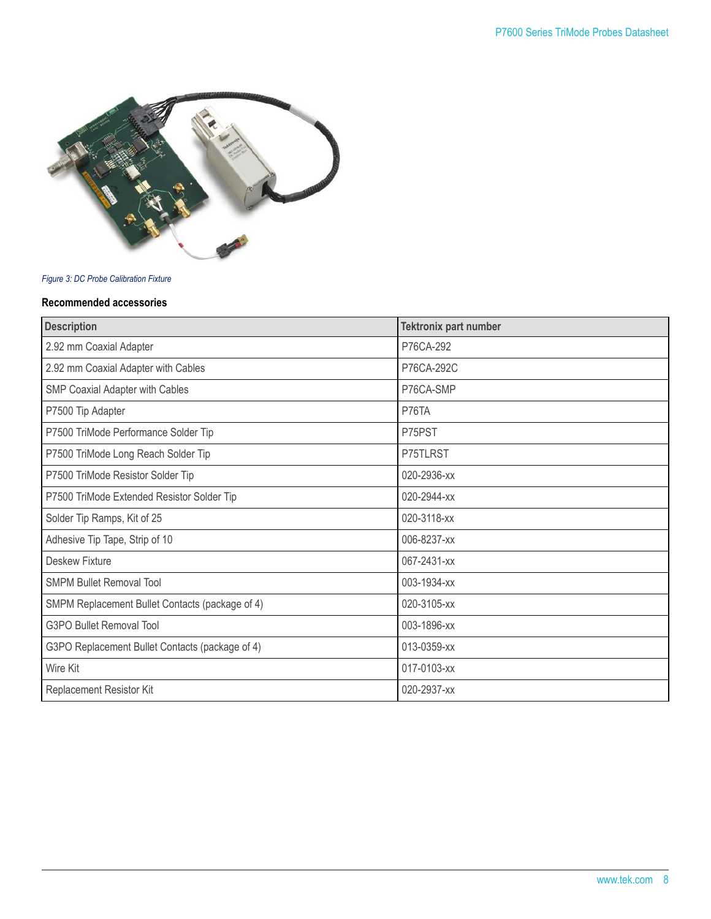

#### *Figure 3: DC Probe Calibration Fixture*

#### **Recommended accessories**

| <b>Description</b>                              | <b>Tektronix part number</b> |
|-------------------------------------------------|------------------------------|
| 2.92 mm Coaxial Adapter                         | P76CA-292                    |
| 2.92 mm Coaxial Adapter with Cables             | P76CA-292C                   |
| SMP Coaxial Adapter with Cables                 | P76CA-SMP                    |
| P7500 Tip Adapter                               | P76TA                        |
| P7500 TriMode Performance Solder Tip            | P75PST                       |
| P7500 TriMode Long Reach Solder Tip             | P75TLRST                     |
| P7500 TriMode Resistor Solder Tip               | 020-2936-xx                  |
| P7500 TriMode Extended Resistor Solder Tip      | 020-2944-xx                  |
| Solder Tip Ramps, Kit of 25                     | 020-3118-xx                  |
| Adhesive Tip Tape, Strip of 10                  | 006-8237-xx                  |
| Deskew Fixture                                  | 067-2431-xx                  |
| <b>SMPM Bullet Removal Tool</b>                 | 003-1934-xx                  |
| SMPM Replacement Bullet Contacts (package of 4) | 020-3105-xx                  |
| <b>G3PO Bullet Removal Tool</b>                 | 003-1896-xx                  |
| G3PO Replacement Bullet Contacts (package of 4) | 013-0359-xx                  |
| Wire Kit                                        | 017-0103-xx                  |
| Replacement Resistor Kit                        | 020-2937-xx                  |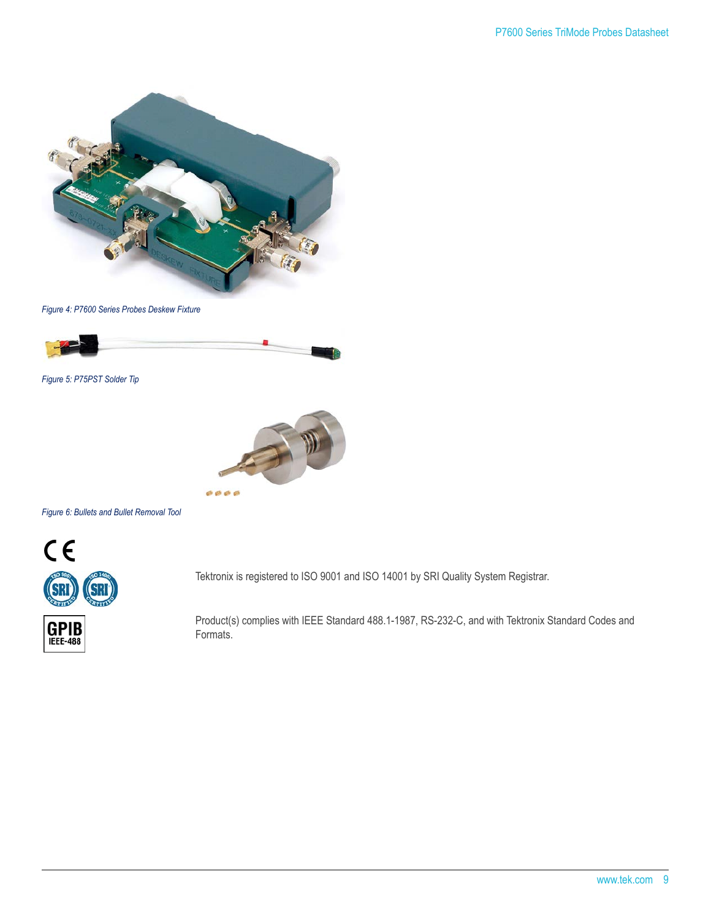

*Figure 4: P7600 Series Probes Deskew Fixture*



*Figure 5: P75PST Solder Tip*



*Figure 6: Bullets and Bullet Removal Tool*



Tektronix is registered to ISO 9001 and ISO 14001 by SRI Quality System Registrar.

Product(s) complies with IEEE Standard 488.1-1987, RS-232-C, and with Tektronix Standard Codes and Formats.